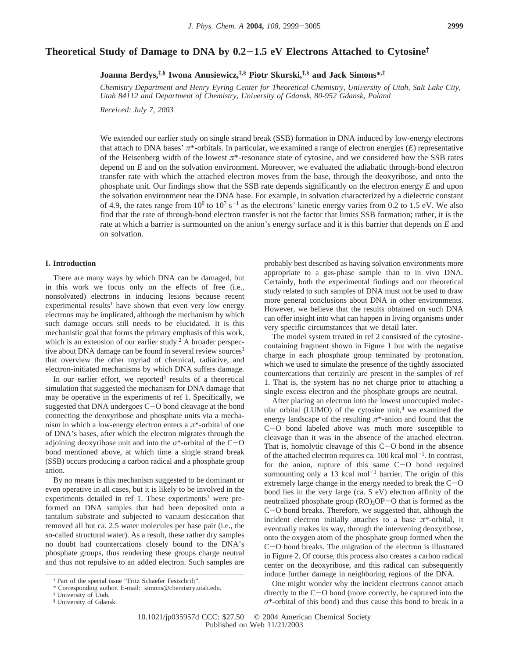# **Theoretical Study of Damage to DNA by 0.2**-**1.5 eV Electrons Attached to Cytosine†**

**Joanna Berdys,‡,§ Iwona Anusiewicz,‡,§ Piotr Skurski,‡,§ and Jack Simons\*,‡**

*Chemistry Department and Henry Eyring Center for Theoretical Chemistry, University of Utah, Salt Lake City, Utah 84112 and Department of Chemistry, University of Gdansk, 80-952 Gdansk, Poland* 

*Recei*V*ed: July 7, 2003*

We extended our earlier study on single strand break (SSB) formation in DNA induced by low-energy electrons that attach to DNA bases' *π*\*-orbitals. In particular, we examined a range of electron energies (*E*) representative of the Heisenberg width of the lowest *π*\*-resonance state of cytosine, and we considered how the SSB rates depend on *E* and on the solvation environment. Moreover, we evaluated the adiabatic through-bond electron transfer rate with which the attached electron moves from the base, through the deoxyribose, and onto the phosphate unit. Our findings show that the SSB rate depends significantly on the electron energy *E* and upon the solvation environment near the DNA base. For example, in solvation characterized by a dielectric constant of 4.9, the rates range from  $10^0$  to  $10^7$  s<sup>-1</sup> as the electrons' kinetic energy varies from 0.2 to 1.5 eV. We also find that the rate of through-bond electron transfer is not the factor that limits SSB formation; rather, it is the rate at which a barrier is surmounted on the anion's energy surface and it is this barrier that depends on *E* and on solvation.

## **I. Introduction**

There are many ways by which DNA can be damaged, but in this work we focus only on the effects of free (i.e., nonsolvated) electrons in inducing lesions because recent experimental results<sup>1</sup> have shown that even very low energy electrons may be implicated, although the mechanism by which such damage occurs still needs to be elucidated. It is this mechanistic goal that forms the primary emphasis of this work, which is an extension of our earlier study.<sup>2</sup> A broader perspective about DNA damage can be found in several review sources<sup>3</sup> that overview the other myriad of chemical, radiative, and electron-initiated mechanisms by which DNA suffers damage.

In our earlier effort, we reported<sup>2</sup> results of a theoretical simulation that suggested the mechanism for DNA damage that may be operative in the experiments of ref 1. Specifically, we suggested that DNA undergoes C-O bond cleavage at the bond connecting the deoxyribose and phosphate units via a mechanism in which a low-energy electron enters a *π*\*-orbital of one of DNA's bases, after which the electron migrates through the adjoining deoxyribose unit and into the  $\sigma^*$ -orbital of the C-O bond mentioned above, at which time a single strand break (SSB) occurs producing a carbon radical and a phosphate group anion.

By no means is this mechanism suggested to be dominant or even operative in all cases, but it is likely to be involved in the experiments detailed in ref 1. These experiments<sup>1</sup> were preformed on DNA samples that had been deposited onto a tantalum substrate and subjected to vacuum desiccation that removed all but ca. 2.5 water molecules per base pair (i.e., the so-called structural water). As a result, these rather dry samples no doubt had countercations closely bound to the DNA's phosphate groups, thus rendering these groups charge neutral and thus not repulsive to an added electron. Such samples are

probably best described as having solvation environments more appropriate to a gas-phase sample than to in vivo DNA. Certainly, both the experimental findings and our theoretical study related to such samples of DNA must not be used to draw more general conclusions about DNA in other environments. However, we believe that the results obtained on such DNA can offer insight into what can happen in living organisms under very specific circumstances that we detail later.

The model system treated in ref 2 consisted of the cytosinecontaining fragment shown in Figure 1 but with the negative charge in each phosphate group terminated by protonation, which we used to simulate the presence of the tightly associated countercations that certainly are present in the samples of ref 1. That is, the system has no net charge prior to attaching a single excess electron and the phosphate groups are neutral.

After placing an electron into the lowest unoccupied molecular orbital (LUMO) of the cytosine unit, $4 \le$  we examined the energy landscape of the resulting *π*\*-anion and found that the <sup>C</sup>-O bond labeled above was much more susceptible to cleavage than it was in the absence of the attached electron. That is, homolytic cleavage of this  $C-O$  bond in the absence of the attached electron requires ca.  $100 \text{ kcal mol}^{-1}$ . In contrast, for the anion, rupture of this same C-O bond required surmounting only a 13 kcal mol<sup> $-1$ </sup> barrier. The origin of this extremely large change in the energy needed to break the  $C-O$ bond lies in the very large (ca. 5 eV) electron affinity of the neutralized phosphate group  $(RO)<sub>2</sub>OP-O$  that is formed as the <sup>C</sup>-O bond breaks. Therefore, we suggested that, although the incident electron initially attaches to a base  $\pi^*$ -orbital, it eventually makes its way, through the intervening deoxyribose, onto the oxygen atom of the phosphate group formed when the <sup>C</sup>-O bond breaks. The migration of the electron is illustrated in Figure 2. Of course, this process also creates a carbon radical center on the deoxyribose, and this radical can subsequently induce further damage in neighboring regions of the DNA.

One might wonder why the incident electrons cannot attach directly to the C-O bond (more correctly, be captured into the *σ*\*-orbital of this bond) and thus cause this bond to break in a

<sup>†</sup> Part of the special issue "Fritz Schaefer Festschrift".

<sup>\*</sup> Corresponding author. E-mail: simons@chemistry.utah.edu.

<sup>‡</sup> University of Utah.

<sup>§</sup> University of Gdansk.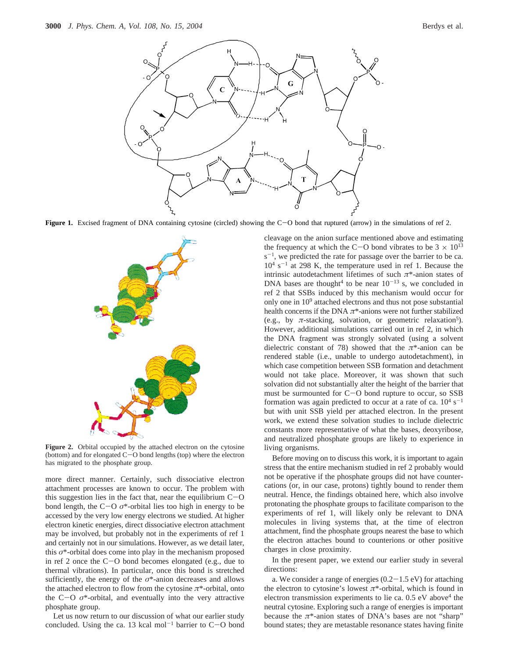

Figure 1. Excised fragment of DNA containing cytosine (circled) showing the C-O bond that ruptured (arrow) in the simulations of ref 2.



Figure 2. Orbital occupied by the attached electron on the cytosine (bottom) and for elongated C-O bond lengths (top) where the electron has migrated to the phosphate group.

more direct manner. Certainly, such dissociative electron attachment processes are known to occur. The problem with this suggestion lies in the fact that, near the equilibrium  $C-O$ bond length, the  $C-O$   $\sigma^*$ -orbital lies too high in energy to be accessed by the very low energy electrons we studied. At higher electron kinetic energies, direct dissociative electron attachment may be involved, but probably not in the experiments of ref 1 and certainly not in our simulations. However, as we detail later, this *σ*\*-orbital does come into play in the mechanism proposed in ref 2 once the C-O bond becomes elongated (e.g., due to thermal vibrations). In particular, once this bond is stretched sufficiently, the energy of the *σ*\*-anion decreases and allows the attached electron to flow from the cytosine *π*\*-orbital, onto the  $C-O$   $\sigma^*$ -orbital, and eventually into the very attractive phosphate group.

Let us now return to our discussion of what our earlier study concluded. Using the ca. 13 kcal mol<sup>-1</sup> barrier to  $C-O$  bond cleavage on the anion surface mentioned above and estimating the frequency at which the C-O bond vibrates to be  $3 \times 10^{13}$  $s^{-1}$ , we predicted the rate for passage over the barrier to be ca.  $10^4$  s<sup>-1</sup> at 298 K, the temperature used in ref 1. Because the intrinsic autodetachment lifetimes of such *π*\*-anion states of DNA bases are thought<sup>4</sup> to be near  $10^{-13}$  s, we concluded in ref 2 that SSBs induced by this mechanism would occur for only one in 109 attached electrons and thus not pose substantial health concerns if the DNA *π*\*-anions were not further stabilized (e.g., by  $\pi$ -stacking, solvation, or geometric relaxation<sup>5</sup>). However, additional simulations carried out in ref 2, in which the DNA fragment was strongly solvated (using a solvent dielectric constant of 78) showed that the *π*\*-anion can be rendered stable (i.e., unable to undergo autodetachment), in which case competition between SSB formation and detachment would not take place. Moreover, it was shown that such solvation did not substantially alter the height of the barrier that must be surmounted for C-O bond rupture to occur, so SSB formation was again predicted to occur at a rate of ca.  $10^4$  s<sup>-1</sup> but with unit SSB yield per attached electron. In the present work, we extend these solvation studies to include dielectric constants more representative of what the bases, deoxyribose, and neutralized phosphate groups are likely to experience in living organisms.

Before moving on to discuss this work, it is important to again stress that the entire mechanism studied in ref 2 probably would not be operative if the phosphate groups did not have countercations (or, in our case, protons) tightly bound to render them neutral. Hence, the findings obtained here, which also involve protonating the phosphate groups to facilitate comparison to the experiments of ref 1, will likely only be relevant to DNA molecules in living systems that, at the time of electron attachment, find the phosphate groups nearest the base to which the electron attaches bound to counterions or other positive charges in close proximity.

In the present paper, we extend our earlier study in several directions:

a. We consider a range of energies  $(0.2-1.5 \text{ eV})$  for attaching the electron to cytosine's lowest *π*\*-orbital, which is found in electron transmission experiments to lie ca. 0.5 eV above<sup>4</sup> the neutral cytosine. Exploring such a range of energies is important because the  $\pi$ <sup>\*</sup>-anion states of DNA's bases are not "sharp" bound states; they are metastable resonance states having finite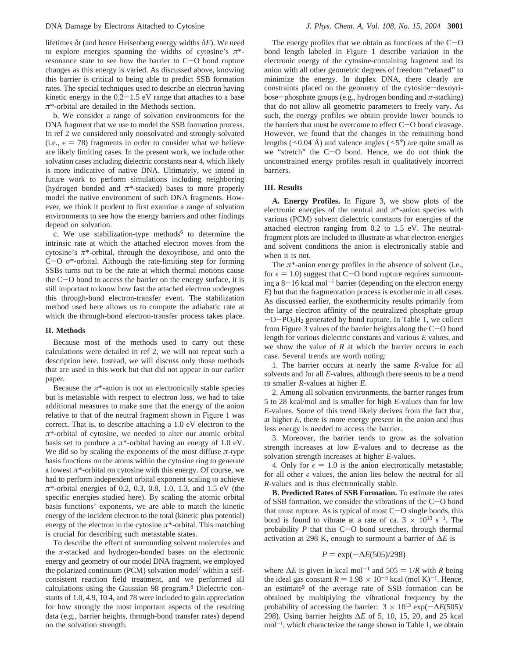lifetimes *δt* (and hence Heisenberg energy widths *δE*). We need to explore energies spanning the widths of cytosine's *π*\* resonance state to see how the barrier to C-O bond rupture changes as this energy is varied. As discussed above, knowing this barrier is critical to being able to predict SSB formation rates. The special techniques used to describe an electron having kinetic energy in the  $0.2-1.5$  eV range that attaches to a base *π*\*-orbital are detailed in the Methods section.

b. We consider a range of solvation environments for the DNA fragment that we use to model the SSB formation process. In ref 2 we considered only nonsolvated and strongly solvated (i.e.,  $\epsilon = 78$ ) fragments in order to consider what we believe are likely limiting cases. In the present work, we include other solvation cases including dielectric constants near 4, which likely is more indicative of native DNA. Ultimately, we intend in future work to perform simulations including neighboring (hydrogen bonded and  $\pi$ <sup>\*</sup>-stacked) bases to more properly model the native environment of such DNA fragments. However, we think it prudent to first examine a range of solvation environments to see how the energy barriers and other findings depend on solvation.

c. We use stabilization-type methods<sup> $6$ </sup> to determine the intrinsic rate at which the attached electron moves from the cytosine's  $\pi^*$ -orbital, through the dexoyribose, and onto the  $C-O$   $\sigma^*$ -orbital. Although the rate-limiting step for forming SSBs turns out to be the rate at which thermal motions cause the  $C-O$  bond to access the barrier on the energy surface, it is still important to know how fast the attached electron undergoes this through-bond electron-transfer event. The stabilization method used here allows us to compute the adiabatic rate at which the through-bond electron-transfer process takes place.

#### **II. Methods**

Because most of the methods used to carry out these calculations were detailed in ref 2, we will not repeat such a description here. Instead, we will discuss only those methods that are used in this work but that did not appear in our earlier paper.

Because the  $\pi^*$ -anion is not an electronically stable species but is metastable with respect to electron loss, we had to take additional measures to make sure that the energy of the anion relative to that of the neutral fragment shown in Figure 1 was correct. That is, to describe attaching a 1.0 eV electron to the *π*\*-orbital of cytosine, we needed to alter our atomic orbital basis set to produce a  $\pi^*$ -orbital having an energy of 1.0 eV. We did so by scaling the exponents of the most diffuse  $\pi$ -type basis functions on the atoms within the cytosine ring to generate a lowest *π*\*-orbital on cytosine with this energy. Of course, we had to perform independent orbital exponent scaling to achieve *π*\*-orbital energies of 0.2, 0.3, 0.8, 1.0, 1.3, and 1.5 eV (the specific energies studied here). By scaling the atomic orbital basis functions' exponents, we are able to match the kinetic energy of the incident electron to the total (kinetic plus potential) energy of the electron in the cytosine  $\pi^*$ -orbital. This matching is crucial for describing such metastable states.

To describe the effect of surrounding solvent molecules and the  $\pi$ -stacked and hydrogen-bonded bases on the electronic energy and geometry of our model DNA fragment, we employed the polarized continuum (PCM) solvation model<sup>7</sup> within a selfconsistent reaction field treatment, and we performed all calculations using the Gaussian 98 program.<sup>8</sup> Dielectric constants of 1.0, 4.9, 10.4, and 78 were included to gain appreciation for how strongly the most important aspects of the resulting data (e.g., barrier heights, through-bond transfer rates) depend on the solvation strength.

The energy profiles that we obtain as functions of the  $C-O$ bond length labeled in Figure 1 describe variation in the electronic energy of the cytosine-containing fragment and its anion with all other geometric degrees of freedom "relaxed" to minimize the energy. In duplex DNA, there clearly are constraints placed on the geometry of the cytosine-dexoyribose-phosphate groups (e.g., hydrogen bonding and  $\pi$ -stacking) that do not allow all geometric parameters to freely vary. As such, the energy profiles we obtain provide lower bounds to the barriers that must be overcome to effect  $C-O$  bond cleavage. However, we found that the changes in the remaining bond lengths ( $\leq 0.04$  Å) and valence angles ( $\leq 5^{\circ}$ ) are quite small as we "stretch" the C-O bond. Hence, we do not think the unconstrained energy profiles result in qualitatively incorrect barriers.

## **III. Results**

**A. Energy Profiles.** In Figure 3, we show plots of the electronic energies of the neutral and  $\pi^*$ -anion species with various (PCM) solvent dielectric constants for energies of the attached electron ranging from 0.2 to 1.5 eV. The neutralfragment plots are included to illustrate at what electron energies and solvent conditions the anion is electronically stable and when it is not.

The *π*\*-anion energy profiles in the absence of solvent (i.e., for  $\epsilon = 1.0$ ) suggest that C-O bond rupture requires surmounting a  $8-16$  kcal mol<sup>-1</sup> barrier (depending on the electron energy *E*) but that the fragmentation process is exothermic in all cases. As discussed earlier, the exothermicity results primarily from the large electron affinity of the neutralized phosphate group  $-O-PO<sub>3</sub>H<sub>2</sub>$  generated by bond rupture. In Table 1, we collect from Figure 3 values of the barrier heights along the  $C-O$  bond length for various dielectric constants and various *E* values, and we show the value of *R* at which the barrier occurs in each case. Several trends are worth noting:

1. The barrier occurs at nearly the same *R*-value for all solvents and for all *E*-values, although there seems to be a trend to smaller *R*-values at higher *E*.

2. Among all solvation environments, the barrier ranges from 5 to 28 kcal/mol and is smaller for high *E*-values than for low *E*-values. Some of this trend likely derives from the fact that, at higher *E*, there is more energy present in the anion and thus less energy is needed to access the barrier.

3. Moreover, the barrier tends to grow as the solvation strength increases at low *E*-values and to decrease as the solvation strength increases at higher *E*-values.

4. Only for  $\epsilon = 1.0$  is the anion electronically metastable; for all other  $\epsilon$  values, the anion lies below the neutral for all *R*-values and is thus electronically stable.

**B. Predicted Rates of SSB Formation.** To estimate the rates of SSB formation, we consider the vibrations of the C-O bond that must rupture. As is typical of most  $C-O$  single bonds, this bond is found to vibrate at a rate of ca.  $3 \times 10^{13} \text{ s}^{-1}$ . The probability *<sup>P</sup>* that this C-O bond stretches, through thermal activation at 298 K, enough to surmount a barrier of ∆*E* is

## $P = \exp(-\Delta E(505)/298)$

where  $\Delta E$  is given in kcal mol<sup>-1</sup> and 505 = 1/*R* with *R* being the ideal gas constant  $R = 1.98 \times 10^{-3}$  kcal (mol K)<sup>-1</sup>. Hence, an estimate<sup>9</sup> of the average rate of SSB formation can be obtained by multiplying the vibrational frequency by the probability of accessing the barrier:  $3 \times 10^{13} \exp(-\Delta E(505))$ 298). Using barrier heights ∆*E* of 5, 10, 15, 20, and 25 kcal  $mol^{-1}$ , which characterize the range shown in Table 1, we obtain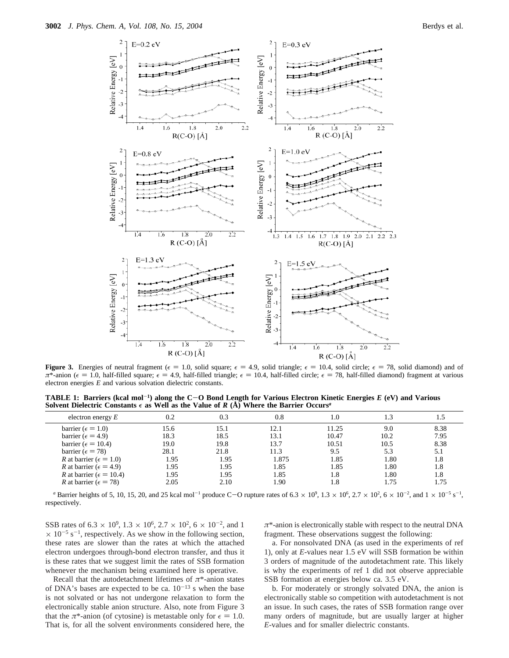

**Figure 3.** Energies of neutral fragment ( $\epsilon = 1.0$ , solid square;  $\epsilon = 4.9$ , solid triangle;  $\epsilon = 10.4$ , solid circle;  $\epsilon = 78$ , solid diamond) and of  $\pi^*$ -anion ( $\epsilon = 1.0$ , half-filled square;  $\epsilon = 4.9$ , half-filled triangle;  $\epsilon = 10.4$ , half-filled circle;  $\epsilon = 78$ , half-filled diamond) fragment at various electron energies *E* and various solvation dielectric constants.

**TABLE 1: Barriers (kcal mol**-**1) along the C**-**O Bond Length for Various Electron Kinetic Energies** *<sup>E</sup>* **(eV) and Various** Solvent Dielectric Constants  $\epsilon$  as Well as the Value of  $R(A)$  Where the Barrier Occurs<sup>*a*</sup>

| electron energy $E$                      | 0.2  | 0.3  | 0.8   | 1.0   |      |      |
|------------------------------------------|------|------|-------|-------|------|------|
| barrier ( $\epsilon = 1.0$ )             | 15.6 | 15.1 | 12.1  | 11.25 | 9.0  | 8.38 |
| barrier ( $\epsilon$ = 4.9)              | 18.3 | 18.5 | 13.1  | 10.47 | 10.2 | 7.95 |
| barrier ( $\epsilon$ = 10.4)             | 19.0 | 19.8 | 13.7  | 10.51 | 10.5 | 8.38 |
| barrier ( $\epsilon$ = 78)               | 28.1 | 21.8 | 11.3  | 9.5   | 5.3  | 5.1  |
| R at barrier ( $\epsilon = 1.0$ )        | 1.95 | 1.95 | 1.875 | 1.85  | 1.80 | 1.8  |
| <i>R</i> at barrier ( $\epsilon$ = 4.9)  | 1.95 | 1.95 | 1.85  | 1.85  | 1.80 | 1.8  |
| <i>R</i> at barrier ( $\epsilon$ = 10.4) | 1.95 | 1.95 | 1.85  | 1.8   | 1.80 | 1.8  |
| <i>R</i> at barrier ( $\epsilon$ = 78)   | 2.05 | 2.10 | 1.90  | 1.8   | 1.75 | 1.75 |
|                                          |      |      |       |       |      |      |

*a* Barrier heights of 5, 10, 15, 20, and 25 kcal mol<sup>-1</sup> produce C-O rupture rates of  $6.3 \times 10^9$ ,  $1.3 \times 10^6$ ,  $2.7 \times 10^2$ ,  $6 \times 10^{-2}$ , and  $1 \times 10^{-5}$  s<sup>-1</sup>, nectively respectively.

SSB rates of 6.3  $\times$  10<sup>9</sup>, 1.3  $\times$  10<sup>6</sup>, 2.7  $\times$  10<sup>2</sup>, 6  $\times$  10<sup>-2</sup>, and 1  $\times$  10<sup>-5</sup> s<sup>-1</sup>, respectively. As we show in the following section, these rates are slower than the rates at which the attached electron undergoes through-bond electron transfer, and thus it is these rates that we suggest limit the rates of SSB formation whenever the mechanism being examined here is operative.

Recall that the autodetachment lifetimes of *π*\*-anion states of DNA's bases are expected to be ca.  $10^{-13}$  s when the base is not solvated or has not undergone relaxation to form the electronically stable anion structure. Also, note from Figure 3 that the  $\pi^*$ -anion (of cytosine) is metastable only for  $\epsilon = 1.0$ . That is, for all the solvent environments considered here, the *π*\*-anion is electronically stable with respect to the neutral DNA fragment. These observations suggest the following:

a. For nonsolvated DNA (as used in the experiments of ref 1), only at *E*-values near 1.5 eV will SSB formation be within 3 orders of magnitude of the autodetachment rate. This likely is why the experiments of ref 1 did not observe appreciable SSB formation at energies below ca. 3.5 eV.

b. For moderately or strongly solvated DNA, the anion is electronically stable so competition with autodetachment is not an issue. In such cases, the rates of SSB formation range over many orders of magnitude, but are usually larger at higher *E*-values and for smaller dielectric constants.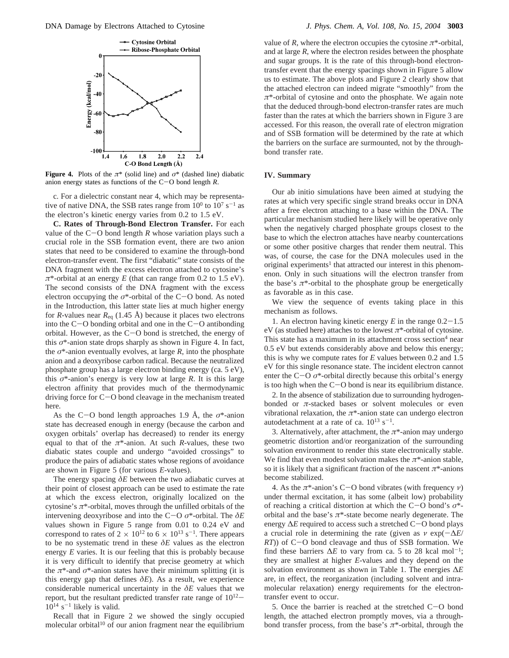

**Figure 4.** Plots of the  $\pi^*$  (solid line) and  $\sigma^*$  (dashed line) diabatic anion energy states as functions of the C-O bond length *<sup>R</sup>*.

c. For a dielectric constant near 4, which may be representative of native DNA, the SSB rates range from  $10^0$  to  $10^7$  s<sup>-1</sup> as the electron's kinetic energy varies from 0.2 to 1.5 eV.

**C. Rates of Through-Bond Electron Transfer.** For each value of the  $C-O$  bond length  $R$  whose variation plays such a crucial role in the SSB formation event, there are two anion states that need to be considered to examine the through-bond electron-transfer event. The first "diabatic" state consists of the DNA fragment with the excess electron attached to cytosine's  $\pi^*$ -orbital at an energy *E* (that can range from 0.2 to 1.5 eV). The second consists of the DNA fragment with the excess electron occupying the  $\sigma^*$ -orbital of the C-O bond. As noted in the Introduction, this latter state lies at much higher energy for *R*-values near  $R_{eq}$  (1.45 Å) because it places two electrons into the  $C-O$  bonding orbital and one in the  $C-O$  antibonding orbital. However, as the  $C-O$  bond is stretched, the energy of this *σ*\*-anion state drops sharply as shown in Figure 4. In fact, the *σ*\*-anion eventually evolves, at large *R*, into the phosphate anion and a deoxyribose carbon radical. Because the neutralized phosphate group has a large electron binding energy (ca. 5 eV), this  $\sigma^*$ -anion's energy is very low at large *R*. It is this large electron affinity that provides much of the thermodynamic driving force for C-O bond cleavage in the mechanism treated here.

As the C-O bond length approaches 1.9 Å, the *<sup>σ</sup>*\*-anion state has decreased enough in energy (because the carbon and oxygen orbitals' overlap has decreased) to render its energy equal to that of the  $\pi^*$ -anion. At such *R*-values, these two diabatic states couple and undergo "avoided crossings" to produce the pairs of adiabatic states whose regions of avoidance are shown in Figure 5 (for various *E*-values).

The energy spacing *δE* between the two adiabatic curves at their point of closest approach can be used to estimate the rate at which the excess electron, originally localized on the cytosine's *π*\*-orbital, moves through the unfilled orbitals of the intervening deoxyribose and into the C-<sup>O</sup> *<sup>σ</sup>*\*-orbital. The *<sup>δ</sup><sup>E</sup>* values shown in Figure 5 range from 0.01 to 0.24 eV and correspond to rates of  $2 \times 10^{12}$  to  $6 \times 10^{13}$  s<sup>-1</sup>. There appears to be no systematic trend in these *δE* values as the electron energy *E* varies. It is our feeling that this is probably because it is very difficult to identify that precise geometry at which the  $\pi^*$ -and  $\sigma^*$ -anion states have their minimum splitting (it is this energy gap that defines *δE*). As a result, we experience considerable numerical uncertainty in the *δE* values that we report, but the resultant predicted transfer rate range of  $10^{12}$ - $10^{14}$  s<sup>-1</sup> likely is valid.

Recall that in Figure 2 we showed the singly occupied molecular orbital $10$  of our anion fragment near the equilibrium

value of *R*, where the electron occupies the cytosine  $\pi^*$ -orbital, and at large *R*, where the electron resides between the phosphate and sugar groups. It is the rate of this through-bond electrontransfer event that the energy spacings shown in Figure 5 allow us to estimate. The above plots and Figure 2 clearly show that the attached electron can indeed migrate "smoothly" from the *π*\*-orbital of cytosine and onto the phosphate. We again note that the deduced through-bond electron-transfer rates are much faster than the rates at which the barriers shown in Figure 3 are accessed. For this reason, the overall rate of electron migration and of SSB formation will be determined by the rate at which the barriers on the surface are surmounted, not by the throughbond transfer rate.

### **IV. Summary**

Our ab initio simulations have been aimed at studying the rates at which very specific single strand breaks occur in DNA after a free electron attaching to a base within the DNA. The particular mechanism studied here likely will be operative only when the negatively charged phosphate groups closest to the base to which the electron attaches have nearby countercations or some other positive charges that render them neutral. This was, of course, the case for the DNA molecules used in the original experiments<sup>1</sup> that attracted our interest in this phenomenon. Only in such situations will the electron transfer from the base's  $\pi$ <sup>\*</sup>-orbital to the phosphate group be energetically as favorable as in this case.

We view the sequence of events taking place in this mechanism as follows.

1. An electron having kinetic energy  $E$  in the range  $0.2-1.5$ eV (as studied here) attaches to the lowest  $\pi^*$ -orbital of cytosine. This state has a maximum in its attachment cross section<sup>4</sup> near 0.5 eV but extends considerably above and below this energy; this is why we compute rates for *E* values between 0.2 and 1.5 eV for this single resonance state. The incident electron cannot enter the C-<sup>O</sup> *<sup>σ</sup>*\*-orbital directly because this orbital's energy is too high when the  $C-O$  bond is near its equilibrium distance.

2. In the absence of stabilization due to surrounding hydrogenbonded or *π*-stacked bases or solvent molecules or even vibrational relaxation, the *π*\*-anion state can undergo electron autodetachment at a rate of ca.  $10^{13}$  s<sup>-1</sup>.

3. Alternatively, after attachment, the *π*\*-anion may undergo geometric distortion and/or reorganization of the surrounding solvation environment to render this state electronically stable. We find that even modest solvation makes the *π*\*-anion stable, so it is likely that a significant fraction of the nascent *π*\*-anions become stabilized.

4. As the *<sup>π</sup>*\*-anion's C-O bond vibrates (with frequency *<sup>ν</sup>*) under thermal excitation, it has some (albeit low) probability of reaching a critical distortion at which the C-O bond's *<sup>σ</sup>*\* orbital and the base's *π*\*-state become nearly degenerate. The energy <sup>∆</sup>*<sup>E</sup>* required to access such a stretched C-O bond plays a crucial role in determining the rate (given as  $\nu \exp(-\Delta E)$ *RT*)) of C-O bond cleavage and thus of SSB formation. We find these barriers  $\Delta E$  to vary from ca. 5 to 28 kcal mol<sup>-1</sup>; they are smallest at higher *E*-values and they depend on the solvation environment as shown in Table 1. The energies ∆*E* are, in effect, the reorganization (including solvent and intramolecular relaxation) energy requirements for the electrontransfer event to occur.

5. Once the barrier is reached at the stretched C-O bond length, the attached electron promptly moves, via a throughbond transfer process, from the base's *π*\*-orbital, through the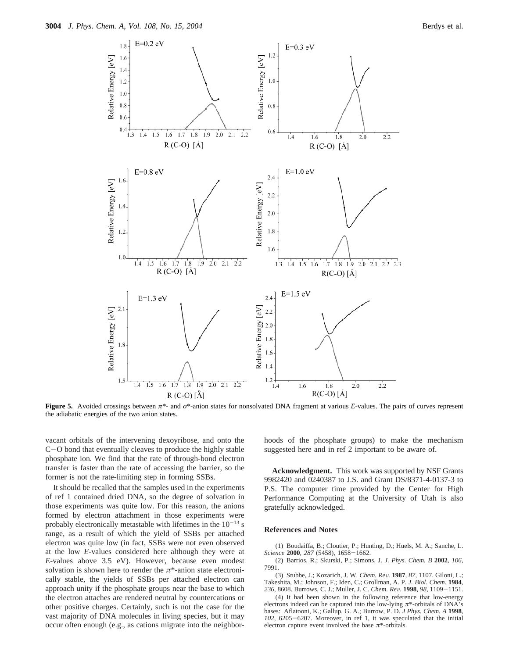

**Figure 5.** Avoided crossings between *π*\*- and *σ*\*-anion states for nonsolvated DNA fragment at various *E*-values. The pairs of curves represent the adiabatic energies of the two anion states.

vacant orbitals of the intervening dexoyribose, and onto the <sup>C</sup>-O bond that eventually cleaves to produce the highly stable phosphate ion. We find that the rate of through-bond electron transfer is faster than the rate of accessing the barrier, so the former is not the rate-limiting step in forming SSBs.

It should be recalled that the samples used in the experiments of ref 1 contained dried DNA, so the degree of solvation in those experiments was quite low. For this reason, the anions formed by electron attachment in those experiments were probably electronically metastable with lifetimes in the  $10^{-13}$  s range, as a result of which the yield of SSBs per attached electron was quite low (in fact, SSBs were not even observed at the low *E*-values considered here although they were at *E*-values above 3.5 eV). However, because even modest solvation is shown here to render the  $\pi^*$ -anion state electronically stable, the yields of SSBs per attached electron can approach unity if the phosphate groups near the base to which the electron attaches are rendered neutral by countercations or other positive charges. Certainly, such is not the case for the vast majority of DNA molecules in living species, but it may occur often enough (e.g., as cations migrate into the neighborhoods of the phosphate groups) to make the mechanism suggested here and in ref 2 important to be aware of.

**Acknowledgment.** This work was supported by NSF Grants 9982420 and 0240387 to J.S. and Grant DS/8371-4-0137-3 to P.S. The computer time provided by the Center for High Performance Computing at the University of Utah is also gratefully acknowledged.

## **References and Notes**

(1) Boudaiffa, B.; Cloutier, P.; Hunting, D.; Huels, M. A.; Sanche, L. *Science* **<sup>2000</sup>**, *<sup>287</sup>* (5458), 1658-1662.

(2) Barrios, R.; Skurski, P.; Simons, J. *J. Phys. Chem. B* **2002**, *106*, 7991.

(3) Stubbe, J.; Kozarich, J. W. *Chem. Re*V*.* **<sup>1987</sup>**, *<sup>87</sup>*, 1107. Giloni, L.; Takeshita, M.; Johnson, F.; Iden, C.; Grollman, A. P. *J. Biol. Chem.* **1984**, *<sup>236</sup>*, 8608. Burrows, C. J.; Muller, J. C. *Chem. Re*V*.* **<sup>1998</sup>**, *<sup>98</sup>*, 1109-1151.

(4) It had been shown in the following reference that low-energy electrons indeed can be captured into the low-lying  $\pi^*$ -orbitals of DNA's bases: Aflatooni, K.; Gallup, G. A.; Burrow, P. D. *J Phys. Chem. A* **1998**, *<sup>102</sup>*, 6205-6207. Moreover, in ref 1, it was speculated that the initial electron capture event involved the base *π*\*-orbitals.